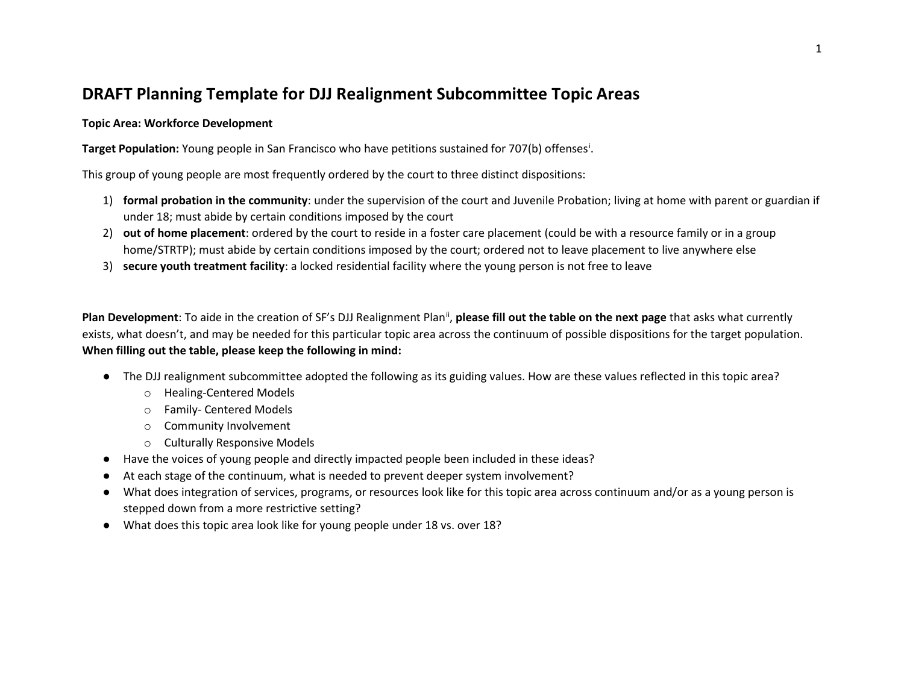## **DRAFT Planning Template for DJJ Realignment Subcommittee Topic Areas**

## **Topic Area: Workforce Development**

**Target Population:** Young people in San Francisco who have petitions sustained for 707(b) offenses[i](#page-4-0) .

This group of young people are most frequently ordered by the court to three distinct dispositions:

- 1) **formal probation in the community**: under the supervision of the court and Juvenile Probation; living at home with parent or guardian if under 18; must abide by certain conditions imposed by the court
- 2) **out of home placement**: ordered by the court to reside in a foster care placement (could be with a resource family or in a group home/STRTP); must abide by certain conditions imposed by the court; ordered not to leave placement to live anywhere else
- 3) **secure youth treatment facility**: a locked residential facility where the young person is not free to leave

Plan Development: To aide in the creation of SF's DJJ Realignment Plan<sup>[ii](#page-4-1)</sup>, please fill out the table on the next page that asks what currently exists, what doesn't, and may be needed for this particular topic area across the continuum of possible dispositions for the target population. **When filling out the table, please keep the following in mind:**

- The DJJ realignment subcommittee adopted the following as its guiding values. How are these values reflected in this topic area?
	- o Healing-Centered Models
	- o Family- Centered Models
	- o Community Involvement
	- o Culturally Responsive Models
- Have the voices of young people and directly impacted people been included in these ideas?
- At each stage of the continuum, what is needed to prevent deeper system involvement?
- What does integration of services, programs, or resources look like for this topic area across continuum and/or as a young person is stepped down from a more restrictive setting?
- What does this topic area look like for young people under 18 vs. over 18?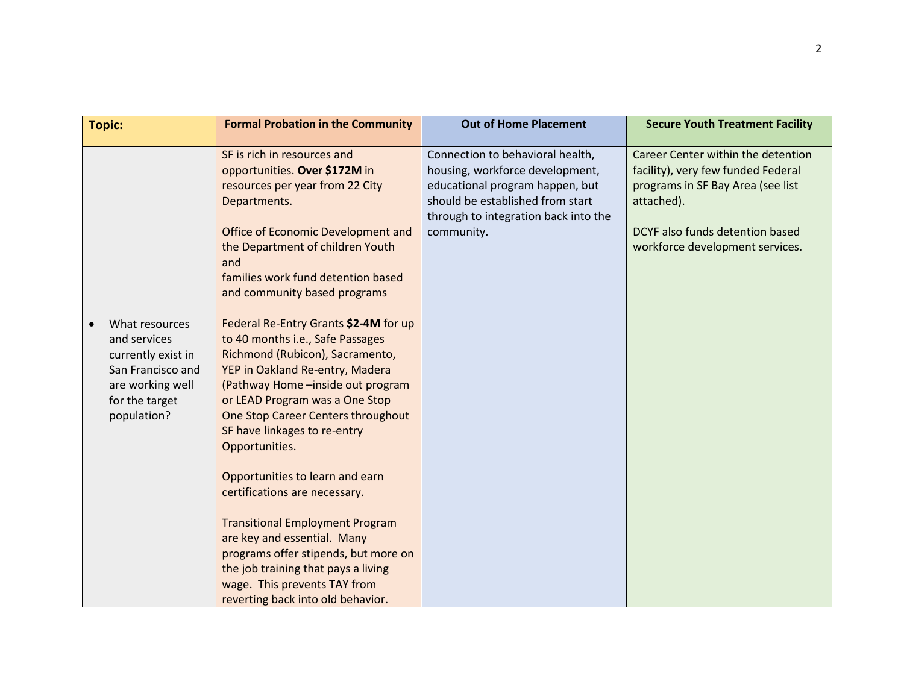| <b>Topic:</b>                                                                                                                  | <b>Formal Probation in the Community</b>                                                                                                                                                                                                                                                                                                                                                                                                                                                                                                                                                                                                                                                                                                                                                                                                                                                   | <b>Out of Home Placement</b>                                                                                                                                                                     | <b>Secure Youth Treatment Facility</b>                                                                                                                                                            |
|--------------------------------------------------------------------------------------------------------------------------------|--------------------------------------------------------------------------------------------------------------------------------------------------------------------------------------------------------------------------------------------------------------------------------------------------------------------------------------------------------------------------------------------------------------------------------------------------------------------------------------------------------------------------------------------------------------------------------------------------------------------------------------------------------------------------------------------------------------------------------------------------------------------------------------------------------------------------------------------------------------------------------------------|--------------------------------------------------------------------------------------------------------------------------------------------------------------------------------------------------|---------------------------------------------------------------------------------------------------------------------------------------------------------------------------------------------------|
| What resources<br>and services<br>currently exist in<br>San Francisco and<br>are working well<br>for the target<br>population? | SF is rich in resources and<br>opportunities. Over \$172M in<br>resources per year from 22 City<br>Departments.<br>Office of Economic Development and<br>the Department of children Youth<br>and<br>families work fund detention based<br>and community based programs<br>Federal Re-Entry Grants \$2-4M for up<br>to 40 months i.e., Safe Passages<br>Richmond (Rubicon), Sacramento,<br>YEP in Oakland Re-entry, Madera<br>(Pathway Home - inside out program<br>or LEAD Program was a One Stop<br>One Stop Career Centers throughout<br>SF have linkages to re-entry<br>Opportunities.<br>Opportunities to learn and earn<br>certifications are necessary.<br><b>Transitional Employment Program</b><br>are key and essential. Many<br>programs offer stipends, but more on<br>the job training that pays a living<br>wage. This prevents TAY from<br>reverting back into old behavior. | Connection to behavioral health,<br>housing, workforce development,<br>educational program happen, but<br>should be established from start<br>through to integration back into the<br>community. | Career Center within the detention<br>facility), very few funded Federal<br>programs in SF Bay Area (see list<br>attached).<br>DCYF also funds detention based<br>workforce development services. |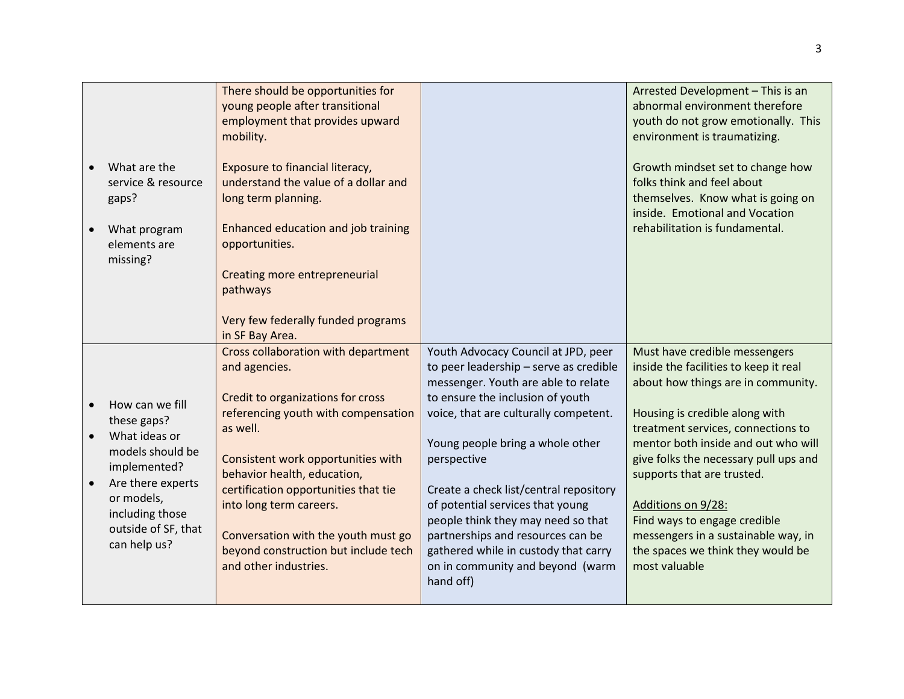|                                                                                                                                                                                  | There should be opportunities for<br>young people after transitional<br>employment that provides upward<br>mobility.                                                                                                                                                                                                                                                                         |                                                                                                                                                                                                                                                                                                                                                                                                                                                                                                        | Arrested Development - This is an<br>abnormal environment therefore<br>youth do not grow emotionally. This<br>environment is traumatizing.                                                                                                                                                                                                                                                                                                            |
|----------------------------------------------------------------------------------------------------------------------------------------------------------------------------------|----------------------------------------------------------------------------------------------------------------------------------------------------------------------------------------------------------------------------------------------------------------------------------------------------------------------------------------------------------------------------------------------|--------------------------------------------------------------------------------------------------------------------------------------------------------------------------------------------------------------------------------------------------------------------------------------------------------------------------------------------------------------------------------------------------------------------------------------------------------------------------------------------------------|-------------------------------------------------------------------------------------------------------------------------------------------------------------------------------------------------------------------------------------------------------------------------------------------------------------------------------------------------------------------------------------------------------------------------------------------------------|
| What are the<br>service & resource<br>gaps?<br>What program<br>elements are<br>missing?                                                                                          | Exposure to financial literacy,<br>understand the value of a dollar and<br>long term planning.<br>Enhanced education and job training<br>opportunities.<br><b>Creating more entrepreneurial</b><br>pathways<br>Very few federally funded programs<br>in SF Bay Area.                                                                                                                         |                                                                                                                                                                                                                                                                                                                                                                                                                                                                                                        | Growth mindset set to change how<br>folks think and feel about<br>themselves. Know what is going on<br>inside. Emotional and Vocation<br>rehabilitation is fundamental.                                                                                                                                                                                                                                                                               |
| How can we fill<br>these gaps?<br>What ideas or<br>models should be<br>implemented?<br>Are there experts<br>or models,<br>including those<br>outside of SF, that<br>can help us? | Cross collaboration with department<br>and agencies.<br>Credit to organizations for cross<br>referencing youth with compensation<br>as well.<br>Consistent work opportunities with<br>behavior health, education,<br>certification opportunities that tie<br>into long term careers.<br>Conversation with the youth must go<br>beyond construction but include tech<br>and other industries. | Youth Advocacy Council at JPD, peer<br>to peer leadership - serve as credible<br>messenger. Youth are able to relate<br>to ensure the inclusion of youth<br>voice, that are culturally competent.<br>Young people bring a whole other<br>perspective<br>Create a check list/central repository<br>of potential services that young<br>people think they may need so that<br>partnerships and resources can be<br>gathered while in custody that carry<br>on in community and beyond (warm<br>hand off) | Must have credible messengers<br>inside the facilities to keep it real<br>about how things are in community.<br>Housing is credible along with<br>treatment services, connections to<br>mentor both inside and out who will<br>give folks the necessary pull ups and<br>supports that are trusted.<br>Additions on 9/28:<br>Find ways to engage credible<br>messengers in a sustainable way, in<br>the spaces we think they would be<br>most valuable |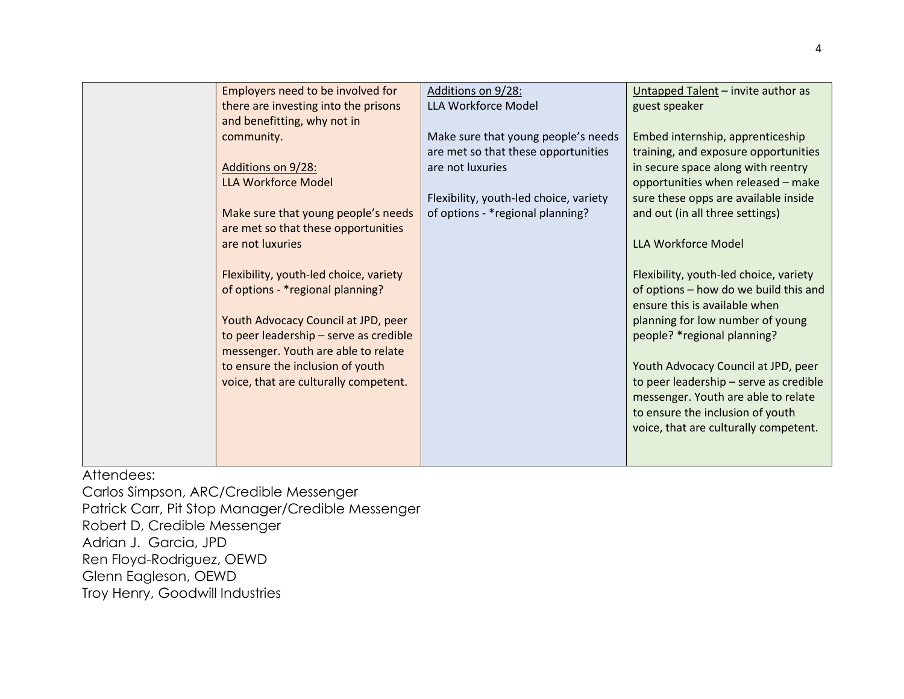| Employers need to be involved for      | Additions on 9/28:                     | Untapped Talent - invite author as     |
|----------------------------------------|----------------------------------------|----------------------------------------|
| there are investing into the prisons   | LLA Workforce Model                    | guest speaker                          |
| and benefitting, why not in            |                                        |                                        |
| community.                             | Make sure that young people's needs    | Embed internship, apprenticeship       |
|                                        | are met so that these opportunities    | training, and exposure opportunities   |
| Additions on 9/28:                     | are not luxuries                       | in secure space along with reentry     |
| <b>LLA Workforce Model</b>             |                                        | opportunities when released - make     |
|                                        | Flexibility, youth-led choice, variety | sure these opps are available inside   |
| Make sure that young people's needs    | of options - * regional planning?      | and out (in all three settings)        |
| are met so that these opportunities    |                                        |                                        |
| are not luxuries                       |                                        | <b>LLA Workforce Model</b>             |
|                                        |                                        |                                        |
|                                        |                                        |                                        |
| Flexibility, youth-led choice, variety |                                        | Flexibility, youth-led choice, variety |
| of options - * regional planning?      |                                        | of options - how do we build this and  |
|                                        |                                        | ensure this is available when          |
| Youth Advocacy Council at JPD, peer    |                                        | planning for low number of young       |
| to peer leadership - serve as credible |                                        | people? *regional planning?            |
| messenger. Youth are able to relate    |                                        |                                        |
| to ensure the inclusion of youth       |                                        | Youth Advocacy Council at JPD, peer    |
| voice, that are culturally competent.  |                                        | to peer leadership - serve as credible |
|                                        |                                        | messenger. Youth are able to relate    |
|                                        |                                        | to ensure the inclusion of youth       |
|                                        |                                        | voice, that are culturally competent.  |
|                                        |                                        |                                        |
|                                        |                                        |                                        |
|                                        |                                        |                                        |

Attendees:

Carlos Simpson, ARC/Credible Messenger Patrick Carr, Pit Stop Manager/Credible Messenger Robert D, Credible Messenger Adrian J. Garcia, JPD Ren Floyd-Rodriguez, OEWD Glenn Eagleson, OEWD Troy Henry, Goodwill Industries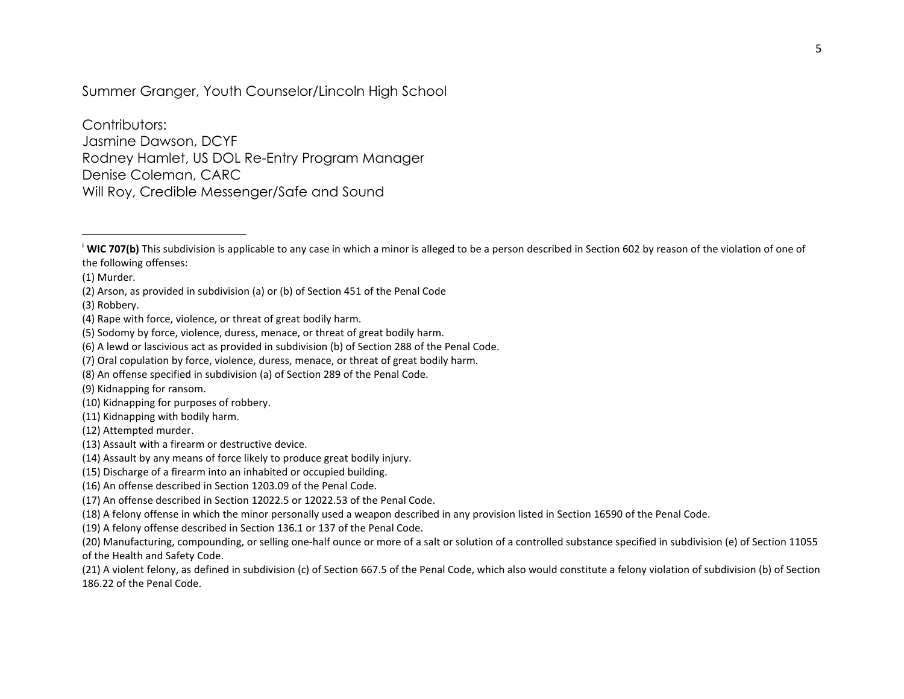<span id="page-4-1"></span><span id="page-4-0"></span>Summer Granger, Youth Counselor/Lincoln High School

Contributors: Jasmine Dawson, DCYF Rodney Hamlet, US DOL Re-Entry Program Manager Denise Coleman, CARC Will Roy, Credible Messenger/Safe and Sound

(3) Robbery.

- (10) Kidnapping for purposes of robbery.
- (11) Kidnapping with bodily harm.

<sup>&</sup>lt;sup>i</sup> WIC 707(b) This subdivision is applicable to any case in which a minor is alleged to be a person described in Section 602 by reason of the violation of one of the following offenses:

<sup>(1)</sup> Murder.

<sup>(2)</sup> Arson, as provided in subdivision (a) or (b) of Section 451 of the Penal Code

<sup>(4)</sup> Rape with force, violence, or threat of great bodily harm.

<sup>(5)</sup> Sodomy by force, violence, duress, menace, or threat of great bodily harm.

<sup>(6)</sup> A lewd or lascivious act as provided in subdivision (b) of Section 288 of the Penal Code.

<sup>(7)</sup> Oral copulation by force, violence, duress, menace, or threat of great bodily harm.

<sup>(8)</sup> An offense specified in subdivision (a) of Section 289 of the Penal Code.

<sup>(9)</sup> Kidnapping for ransom.

<sup>(12)</sup> Attempted murder.

<sup>(13)</sup> Assault with a firearm or destructive device.

<sup>(14)</sup> Assault by any means of force likely to produce great bodily injury.

<sup>(15)</sup> Discharge of a firearm into an inhabited or occupied building.

<sup>(16)</sup> An offense described in Section 1203.09 of the Penal Code.

<sup>(17)</sup> An offense described in Section 12022.5 or 12022.53 of the Penal Code.

<sup>(18)</sup> A felony offense in which the minor personally used a weapon described in any provision listed in Section 16590 of the Penal Code.

<sup>(19)</sup> A felony offense described in Section 136.1 or 137 of the Penal Code.

<sup>(20)</sup> Manufacturing, compounding, or selling one-half ounce or more of a salt or solution of a controlled substance specified in subdivision (e) of Section 11055 of the Health and Safety Code.

<sup>(21)</sup> A violent felony, as defined in subdivision (c) of Section 667.5 of the Penal Code, which also would constitute a felony violation of subdivision (b) of Section 186.22 of the Penal Code.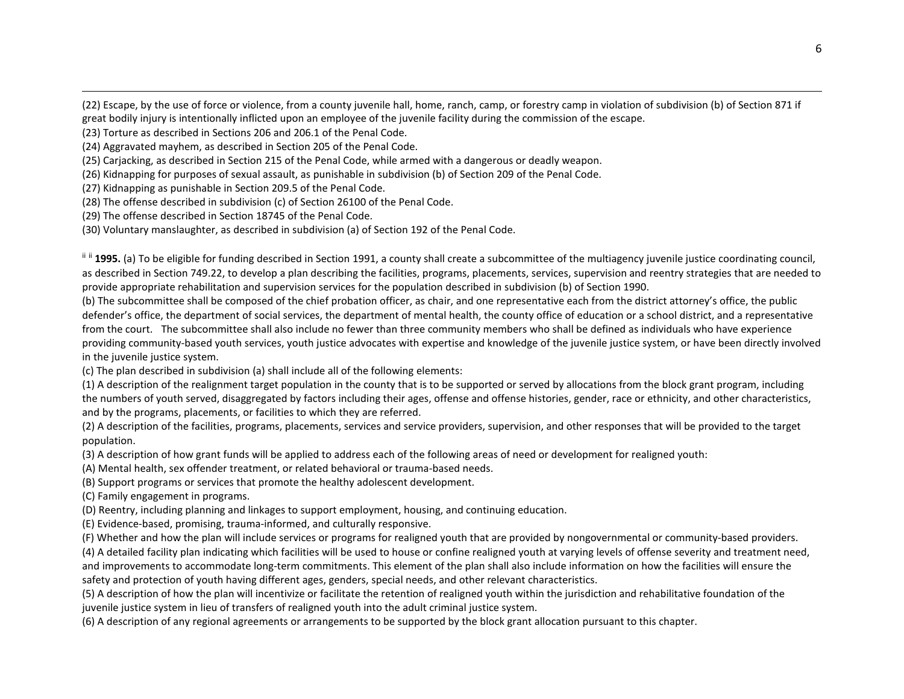(22) Escape, by the use of force or violence, from a county juvenile hall, home, ranch, camp, or forestry camp in violation of subdivision (b) of Section 871 if great bodily injury is intentionally inflicted upon an employee of the juvenile facility during the commission of the escape.

(23) Torture as described in Sections 206 and 206.1 of the Penal Code.

(24) Aggravated mayhem, as described in Section 205 of the Penal Code.

(25) Carjacking, as described in Section 215 of the Penal Code, while armed with a dangerous or deadly weapon.

(26) Kidnapping for purposes of sexual assault, as punishable in subdivision (b) of Section 209 of the Penal Code.

(27) Kidnapping as punishable in Section 209.5 of the Penal Code.

(28) The offense described in subdivision (c) of Section 26100 of the Penal Code.

(29) The offense described in Section 18745 of the Penal Code.

(30) Voluntary manslaughter, as described in subdivision (a) of Section 192 of the Penal Code.

<sup>ii ii</sup> 1995. (a) To be eligible for funding described in Section 1991, a county shall create a subcommittee of the multiagency juvenile justice coordinating council, as described in Section 749.22, to develop a plan describing the facilities, programs, placements, services, supervision and reentry strategies that are needed to provide appropriate rehabilitation and supervision services for the population described in subdivision (b) of Section 1990.

(b) The subcommittee shall be composed of the chief probation officer, as chair, and one representative each from the district attorney's office, the public defender's office, the department of social services, the department of mental health, the county office of education or a school district, and a representative from the court. The subcommittee shall also include no fewer than three community members who shall be defined as individuals who have experience providing community-based youth services, youth justice advocates with expertise and knowledge of the juvenile justice system, or have been directly involved in the juvenile justice system.

(c) The plan described in subdivision (a) shall include all of the following elements:

(1) A description of the realignment target population in the county that is to be supported or served by allocations from the block grant program, including the numbers of youth served, disaggregated by factors including their ages, offense and offense histories, gender, race or ethnicity, and other characteristics, and by the programs, placements, or facilities to which they are referred.

(2) A description of the facilities, programs, placements, services and service providers, supervision, and other responses that will be provided to the target population.

(3) A description of how grant funds will be applied to address each of the following areas of need or development for realigned youth:

(A) Mental health, sex offender treatment, or related behavioral or trauma-based needs.

(B) Support programs or services that promote the healthy adolescent development.

(C) Family engagement in programs.

(D) Reentry, including planning and linkages to support employment, housing, and continuing education.

(E) Evidence-based, promising, trauma-informed, and culturally responsive.

(F) Whether and how the plan will include services or programs for realigned youth that are provided by nongovernmental or community-based providers.

(4) A detailed facility plan indicating which facilities will be used to house or confine realigned youth at varying levels of offense severity and treatment need, and improvements to accommodate long-term commitments. This element of the plan shall also include information on how the facilities will ensure the safety and protection of youth having different ages, genders, special needs, and other relevant characteristics.

(5) A description of how the plan will incentivize or facilitate the retention of realigned youth within the jurisdiction and rehabilitative foundation of the juvenile justice system in lieu of transfers of realigned youth into the adult criminal justice system.

(6) A description of any regional agreements or arrangements to be supported by the block grant allocation pursuant to this chapter.